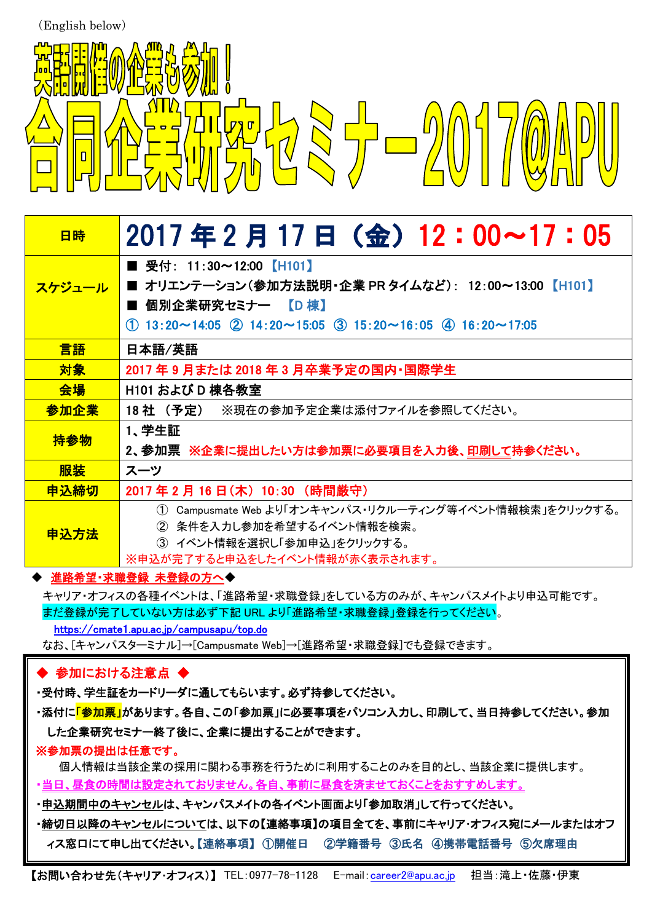(English below)



| 日時     | 2017年2月17日 (金) 12:00~17:05                                              |
|--------|-------------------------------------------------------------------------|
|        | ■ 受付: 11:30~12:00【H101】                                                 |
| スケジュール | ■ オリエンテーション(参加方法説明・企業 PR タイムなど): 12:00~13:00 【H101】                     |
|        | ■ 個別企業研究セミナー 【D 棟】                                                      |
|        | $(1)$ 13:20~14:05 $(2)$ 14:20~15:05 $(3)$ 15:20~16:05 $(4)$ 16:20~17:05 |
| 言語     | 日本語/英語                                                                  |
| 対象     | 2017 年 9 月または 2018 年 3 月卒業予定の国内・国際学生                                    |
| 会場     | H101 および D 棟各教室                                                         |
| 参加企業   | 18社 (予定) ※現在の参加予定企業は添付ファイルを参照してください。                                    |
| 持参物    | 1、学生証                                                                   |
|        | 2、参加票 ※企業に提出したい方は参加票に必要項目を入力後、 <u>印刷して</u> 持参ください。                      |
| 服装     | スーツ                                                                     |
| 申込締切   | 2017 年 2 月 16 日(木) 10:30 (時間厳守)                                         |
| 申込方法   | Campusmate Web より「オンキャンパス・リクルーティング等イベント情報検索」をクリックする。<br>(1)             |
|        | ② 条件を入力し参加を希望するイベント情報を検索。                                               |
|        | ③ イベント情報を選択し「参加申込」をクリックする。                                              |
|        | ※申込が完了すると申込をしたイベント情報が赤く表示されます。                                          |

### ◆ 進路希望・求職登録 未登録の方へ◆

キャリア・オフィスの各種イベントは、「進路希望・求職登録」をしている方のみが、キャンパスメイトより申込可能です。 まだ登録が完了していない方は必ず下記 URL より「進路希望・求職登録」登録を行ってください。 https://cmate1.apu.ac.jp/campusapu/top.do

なお、[キャンパスターミナル]→[Campusmate Web]→[進路希望・求職登録]でも登録できます。

# ◆ 参加における注意点 ◆

- ・受付時、学生証をカードリーダに通してもらいます。必ず持参してください。
- ・添付に<mark>「参加票」</mark>があります。各自、この「参加票」に必要事項をパソコン入力し、印刷して、当日持参してください。参加 した企業研究セミナー終了後に、企業に提出することができます。

## ※参加票の提出は任意です。

- 個人情報は当該企業の採用に関わる事務を行うために利用することのみを目的とし、当該企業に提供します。
- ・当日、昼食の時間は設定されておりません。各自、事前に昼食を済ませておくことをおすすめします。
- ・申込期間中のキャンセルは、キャンパスメイトの各イベント画面より「参加取消」して行ってください。
- ・締切日以降のキャンセルについては、以下の【連絡事項】の項目全てを、事前にキャリア・オフィス宛にメールまたはオフ ィス窓口にて申し出てください。【連絡事項】 ①開催日 ②学籍番号 ③氏名 ④携帯電話番号 ⑤欠席理由